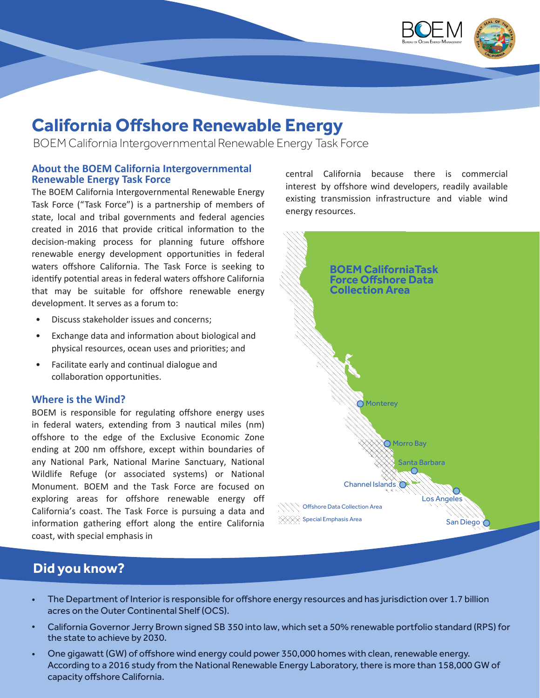

# **California Offshore Renewable Energy**

BOEM California Intergovernmental Renewable Energy Task Force

#### **About the BOEM California Intergovernmental Renewable Energy Task Force**

The BOEM California Intergovernmental Renewable Energy Task Force ("Task Force") is a partnership of members of state, local and tribal governments and federal agencies created in 2016 that provide critical information to the decision-making process for planning future offshore renewable energy development opportunities in federal waters offshore California. The Task Force is seeking to identify potential areas in federal waters offshore California that may be suitable for offshore renewable energy development. It serves as a forum to:

- Discuss stakeholder issues and concerns;
- Exchange data and information about biological and physical resources, ocean uses and priorities; and
- Facilitate early and continual dialogue and collaboration opportunities.

#### **Where is the Wind?**

BOEM is responsible for regulating offshore energy uses in federal waters, extending from 3 nautical miles (nm) offshore to the edge of the Exclusive Economic Zone ending at 200 nm offshore, except within boundaries of any National Park, National Marine Sanctuary, National Wildlife Refuge (or associated systems) or National Monument. BOEM and the Task Force are focused on exploring areas for offshore renewable energy off California's coast. The Task Force is pursuing a data and information gathering effort along the entire California coast, with special emphasis in

central California because there is commercial interest by offshore wind developers, readily available existing transmission infrastructure and viable wind energy resources.



# **Did you know?**

- The Department of Interior is responsible for offshore energy resources and has jurisdiction over 1.7 billion acres on the Outer Continental Shelf (OCS).
- California Governor Jerry Brown signed SB 350 into law, which set a 50% renewable portfolio standard (RPS) for the state to achieve by 2030.
- One gigawatt (GW) of offshore wind energy could power 350,000 homes with clean, renewable energy. According to a 2016 study from the National Renewable Energy Laboratory, there is more than 158,000 GW of capacity offshore California.